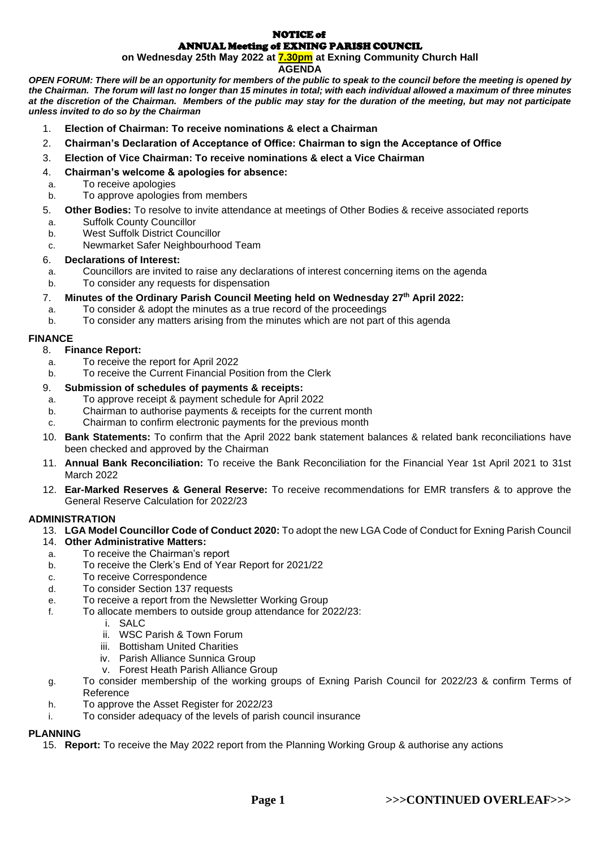#### NOTICE of ANNUAL Meeting of EXNING PARISH COUNCIL

**on Wednesday 25th May 2022 at 7.30pm at Exning Community Church Hall** 

# **AGENDA**

*OPEN FORUM: There will be an opportunity for members of the public to speak to the council before the meeting is opened by the Chairman. The forum will last no longer than 15 minutes in total; with each individual allowed a maximum of three minutes*  at the discretion of the Chairman. Members of the public may stay for the duration of the meeting, but may not participate *unless invited to do so by the Chairman*

- 1. **Election of Chairman: To receive nominations & elect a Chairman**
- 2. **Chairman's Declaration of Acceptance of Office: Chairman to sign the Acceptance of Office**
- 3. **Election of Vice Chairman: To receive nominations & elect a Vice Chairman**
- 4. **Chairman's welcome & apologies for absence:**
- a. To receive apologies
- b. To approve apologies from members
- 5. **Other Bodies:** To resolve to invite attendance at meetings of Other Bodies & receive associated reports
- a. Suffolk County Councillor
- b. West Suffolk District Councillor
- c. Newmarket Safer Neighbourhood Team

# 6. **Declarations of Interest:**

- a. Councillors are invited to raise any declarations of interest concerning items on the agenda
- b. To consider any requests for dispensation

# 7. **Minutes of the Ordinary Parish Council Meeting held on Wednesday 27 th April 2022:**

- a. To consider & adopt the minutes as a true record of the proceedings
- b. To consider any matters arising from the minutes which are not part of this agenda

# **FINANCE**

# 8. **Finance Report:**

- a. To receive the report for April 2022
- b. To receive the Current Financial Position from the Clerk

# 9. **Submission of schedules of payments & receipts:**

- a. To approve receipt & payment schedule for April 2022
- b. Chairman to authorise payments & receipts for the current month
- c. Chairman to confirm electronic payments for the previous month
- 10. **Bank Statements:** To confirm that the April 2022 bank statement balances & related bank reconciliations have been checked and approved by the Chairman
- 11. **Annual Bank Reconciliation:** To receive the Bank Reconciliation for the Financial Year 1st April 2021 to 31st March 2022
- 12. **Ear-Marked Reserves & General Reserve:** To receive recommendations for EMR transfers & to approve the General Reserve Calculation for 2022/23

# **ADMINISTRATION**

- 13. **LGA Model Councillor Code of Conduct 2020:** To adopt the new LGA Code of Conduct for Exning Parish Council
- 14. **Other Administrative Matters:**
- a. To receive the Chairman's report
- b. To receive the Clerk's End of Year Report for 2021/22
- c. To receive Correspondence
- d. To consider Section 137 requests
- e. To receive a report from the Newsletter Working Group
- f. To allocate members to outside group attendance for 2022/23:
	- i. SALC
	- ii. WSC Parish & Town Forum
	- iii. Bottisham United Charities
	- iv. Parish Alliance Sunnica Group
	- v. Forest Heath Parish Alliance Group
- g. To consider membership of the working groups of Exning Parish Council for 2022/23 & confirm Terms of Reference
- h. To approve the Asset Register for 2022/23
- i. To consider adequacy of the levels of parish council insurance

# **PLANNING**

15. **Report:** To receive the May 2022 report from the Planning Working Group & authorise any actions